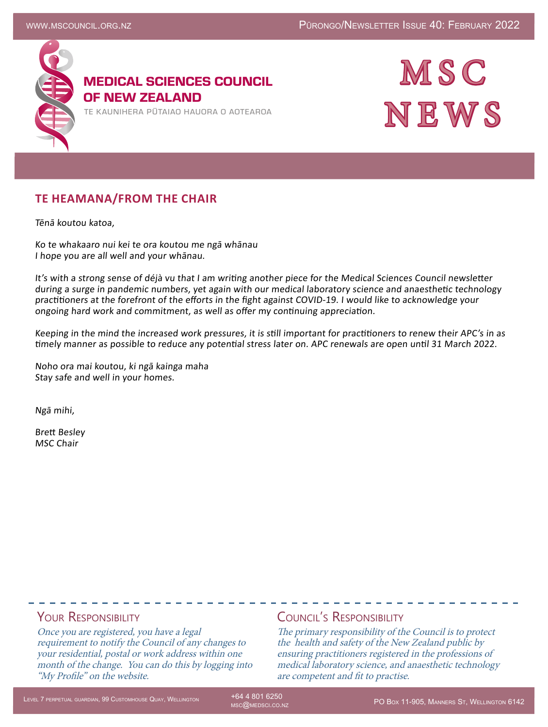

## MEDICAL SCIENCES COUNCIL OF NEW ZEALAND

TE KAUNIHERA PUTAIAO HAUORA O AOTEAROA



## **TE HEAMANA/FROM THE CHAIR**

Tēnā koutou katoa,

Ko te whakaaro nui kei te ora koutou me ngā whānau I hope you are all well and your whānau.

It's with a strong sense of déjà vu that I am writing another piece for the Medical Sciences Council newsletter during a surge in pandemic numbers, yet again with our medical laboratory science and anaesthetic technology practitioners at the forefront of the efforts in the fight against COVID-19. I would like to acknowledge your ongoing hard work and commitment, as well as offer my continuing appreciation.

Keeping in the mind the increased work pressures, it is still important for practitioners to renew their APC's in as timely manner as possible to reduce any potential stress later on. APC renewals are open until 31 March 2022.

Noho ora mai koutou, ki ngā kainga maha Stay safe and well in your homes.

Ngā mihi,

Brett Besley MSC Chair

### YOUR RESPONSIBILITY

Once you are registered, you have a legal requirement to notify the Council of any changes to your residential, postal or work address within one month of the change. You can do this by logging into "My Profile" on the website.

### Council's Responsibility

The primary responsibility of the Council is to protect the health and safety of the New Zealand public by ensuring practitioners registered in the professions of medical laboratory science, and anaesthetic technology are competent and fit to practise.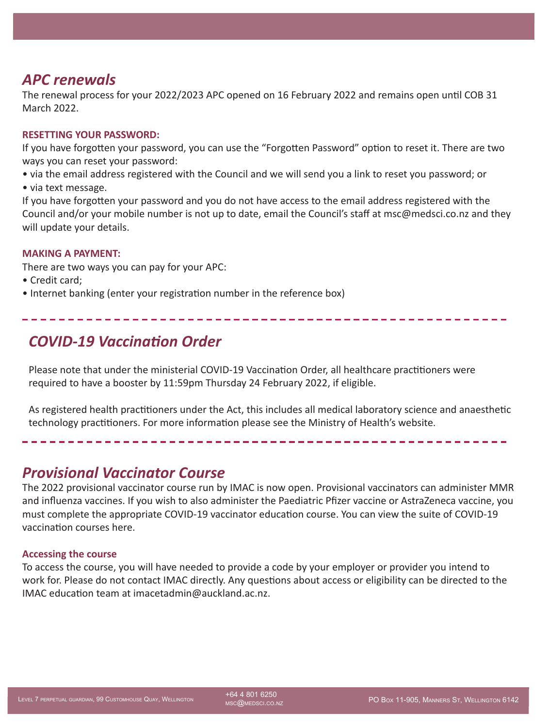## *APC renewals*

The renewal process for your 2022/2023 APC opened on 16 February 2022 and remains open until COB 31 March 2022.

#### **RESETTING YOUR PASSWORD:**

If you have forgotten your password, you can use the "Forgotten Password" option to reset it. There are two ways you can reset your password:

- via the email address registered with the Council and we will send you a link to reset you password; or
- via text message.

If you have forgotten your password and you do not have access to the email address registered with the Council and/or your mobile number is not up to date, email the Council's staff at msc@medsci.co.nz and they will update your details.

#### **MAKING A PAYMENT:**

There are two ways you can pay for your APC:

- Credit card;
- Internet banking (enter your registration number in the reference box)

# *COVID-19 Vaccination Order*

Please note that under the ministerial COVID-19 Vaccination Order, all healthcare practitioners were required to have a booster by 11:59pm Thursday 24 February 2022, if eligible.

As registered health practitioners under the Act, this includes all medical laboratory science and anaesthetic technology practitioners. For more information please see the [Ministry of Health's website](https://www.health.govt.nz/covid-19-novel-coronavirus/covid-19-response-planning/covid-19-mandatory-vaccinations).

## *Provisional Vaccinator Course*

The 2022 provisional vaccinator course run by IMAC is now open. Provisional vaccinators can administer MMR and influenza vaccines. If you wish to also administer the Paediatric Pfizer vaccine or AstraZeneca vaccine, you must complete the appropriate COVID-19 vaccinator education course. You can view the suite of COVID-19 vaccination courses [here.](https://covid.immune.org.nz/education/joining-covid-19-workforce/joining-covid-19-workforce-education-profession) 

#### **Accessing the course**

To access the course, you will have needed to provide a code by your employer or provider you intend to work for. Please do not contact IMAC directly. Any questions about access or eligibility can be directed to the IMAC education team at imacetadmin@auckland.ac.nz.